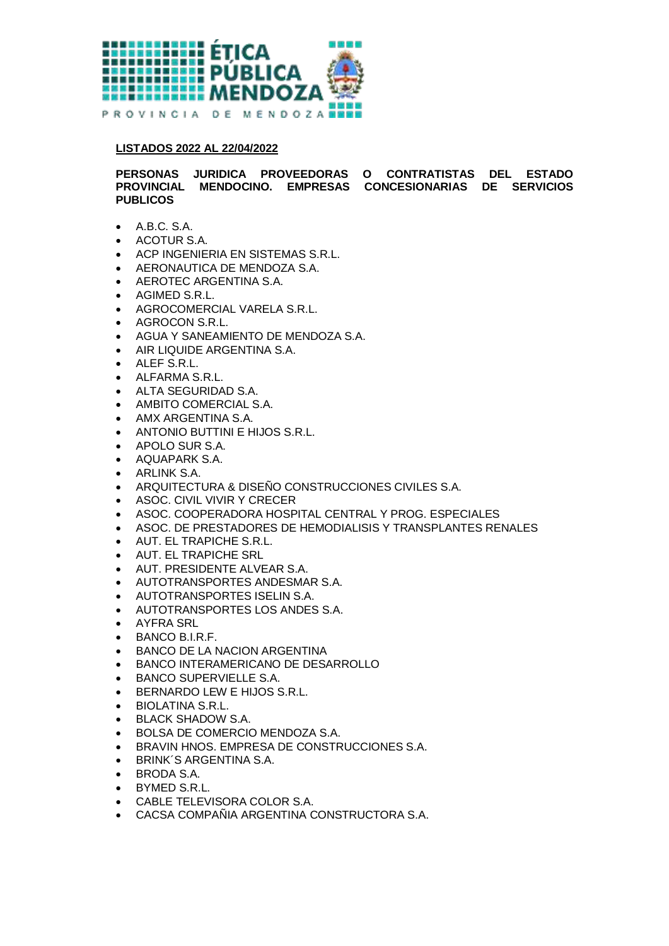

## **LISTADOS 2022 AL 22/04/2022**

**PERSONAS JURIDICA PROVEEDORAS O CONTRATISTAS DEL ESTADO PROVINCIAL MENDOCINO. EMPRESAS CONCESIONARIAS DE SERVICIOS PUBLICOS**

- A.B.C. S.A.
- ACOTUR S.A.
- ACP INGENIERIA EN SISTEMAS S.R.L.
- AERONAUTICA DE MENDOZA S.A.
- AEROTEC ARGENTINA S.A.
- AGIMED S.R.L.
- AGROCOMERCIAL VARELA S.R.L.
- **AGROCON S.R.L.**
- AGUA Y SANEAMIENTO DE MENDOZA S.A.
- AIR LIQUIDE ARGENTINA S.A.
- ALEF S.R.L.
- ALFARMA S.R.L.
- ALTA SEGURIDAD S.A.
- AMBITO COMERCIAL S.A.
- AMX ARGENTINA S.A.
- ANTONIO BUTTINI E HIJOS S.R.L.
- APOLO SUR S.A.
- AQUAPARK S.A.
- **•** ARLINK S.A.
- ARQUITECTURA & DISEÑO CONSTRUCCIONES CIVILES S.A.
- **ASOC. CIVIL VIVIR Y CRECER**
- ASOC. COOPERADORA HOSPITAL CENTRAL Y PROG. ESPECIALES
- ASOC. DE PRESTADORES DE HEMODIALISIS Y TRANSPLANTES RENALES
- AUT. EL TRAPICHE S.R.L.
- AUT. EL TRAPICHE SRL
- AUT. PRESIDENTE ALVEAR S.A.
- AUTOTRANSPORTES ANDESMAR S.A.
- AUTOTRANSPORTES ISELIN S.A.
- AUTOTRANSPORTES LOS ANDES S.A.
- AYFRA SRL
- BANCO B.I.R.F.
- **BANCO DE LA NACION ARGENTINA**
- BANCO INTERAMERICANO DE DESARROLLO
- BANCO SUPERVIELLE S.A.
- BERNARDO LEW E HIJOS S.R.L.
- BIOLATINA S.R.L.
- BLACK SHADOW S.A.
- BOLSA DE COMERCIO MENDOZA S.A.
- BRAVIN HNOS. EMPRESA DE CONSTRUCCIONES S.A.
- **BRINK'S ARGENTINA S.A.**
- BRODA S.A.
- BYMED S.R.L.
- CABLE TELEVISORA COLOR S.A.
- CACSA COMPAÑIA ARGENTINA CONSTRUCTORA S.A.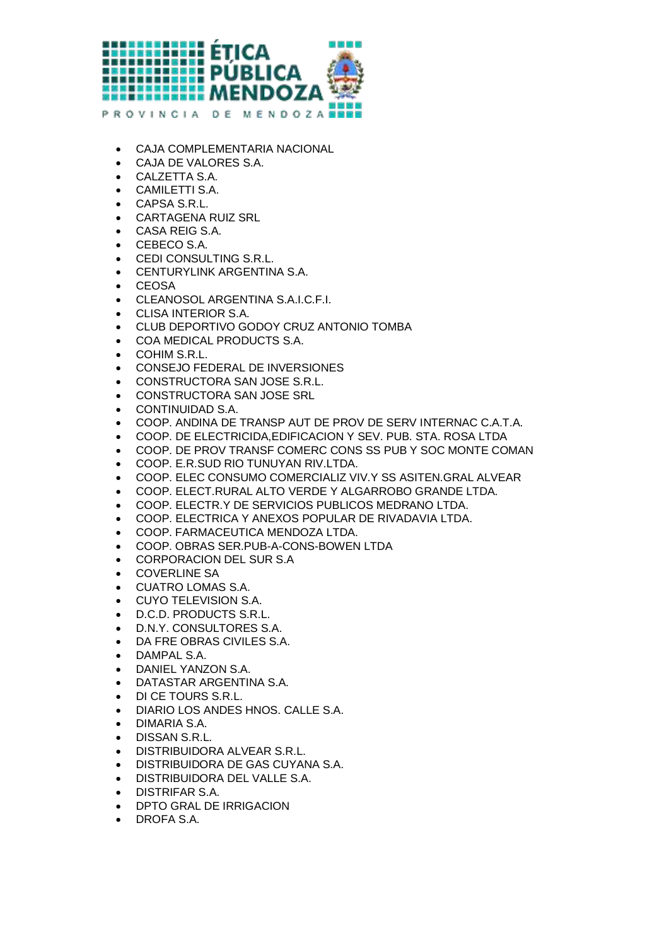

- CAJA COMPLEMENTARIA NACIONAL
- CAJA DE VALORES S.A.
- CALZETTA S.A.
- CAMILETTI S.A.
- CAPSA S.R.L.
- CARTAGENA RUIZ SRL
- CASA REIG S.A.
- CEBECO S.A.
- CEDI CONSULTING S.R.L.
- CENTURYLINK ARGENTINA S.A.
- CEOSA
- CLEANOSOL ARGENTINA S.A.I.C.F.I.
- CLISA INTERIOR S.A.
- CLUB DEPORTIVO GODOY CRUZ ANTONIO TOMBA
- COA MEDICAL PRODUCTS S.A.
- COHIM S.R.L.
- CONSEJO FEDERAL DE INVERSIONES
- CONSTRUCTORA SAN JOSE S.R.L.
- **CONSTRUCTORA SAN JOSE SRL**
- CONTINUIDAD S.A.
- COOP. ANDINA DE TRANSP AUT DE PROV DE SERV INTERNAC C.A.T.A.
- COOP. DE ELECTRICIDA,EDIFICACION Y SEV. PUB. STA. ROSA LTDA
- COOP. DE PROV TRANSF COMERC CONS SS PUB Y SOC MONTE COMAN
- COOP. E.R.SUD RIO TUNUYAN RIV.LTDA.
- COOP. ELEC CONSUMO COMERCIALIZ VIV.Y SS ASITEN.GRAL ALVEAR
- COOP. ELECT.RURAL ALTO VERDE Y ALGARROBO GRANDE LTDA.
- COOP. ELECTR.Y DE SERVICIOS PUBLICOS MEDRANO LTDA.
- COOP. ELECTRICA Y ANEXOS POPULAR DE RIVADAVIA LTDA.
- COOP. FARMACEUTICA MENDOZA LTDA.
- COOP. OBRAS SER.PUB-A-CONS-BOWEN LTDA
- CORPORACION DEL SUR S.A
- COVERLINE SA
- CUATRO LOMAS S.A.
- CUYO TELEVISION S.A.
- D.C.D. PRODUCTS S.R.L.
- D.N.Y. CONSULTORES S.A.
- DA FRE OBRAS CIVILES S.A.
- DAMPAL S.A.
- DANIEL YANZON S.A.
- DATASTAR ARGENTINA S.A.
- **DI CE TOURS S.R.L.**
- DIARIO LOS ANDES HNOS. CALLE S.A.
- DIMARIA S.A.
- **•** DISSAN S.R.L.
- DISTRIBUIDORA ALVEAR S.R.L.
- DISTRIBUIDORA DE GAS CUYANA S.A.
- DISTRIBUIDORA DEL VALLE S.A.
- DISTRIFAR S.A.
- DPTO GRAL DE IRRIGACION
- DROFA S.A.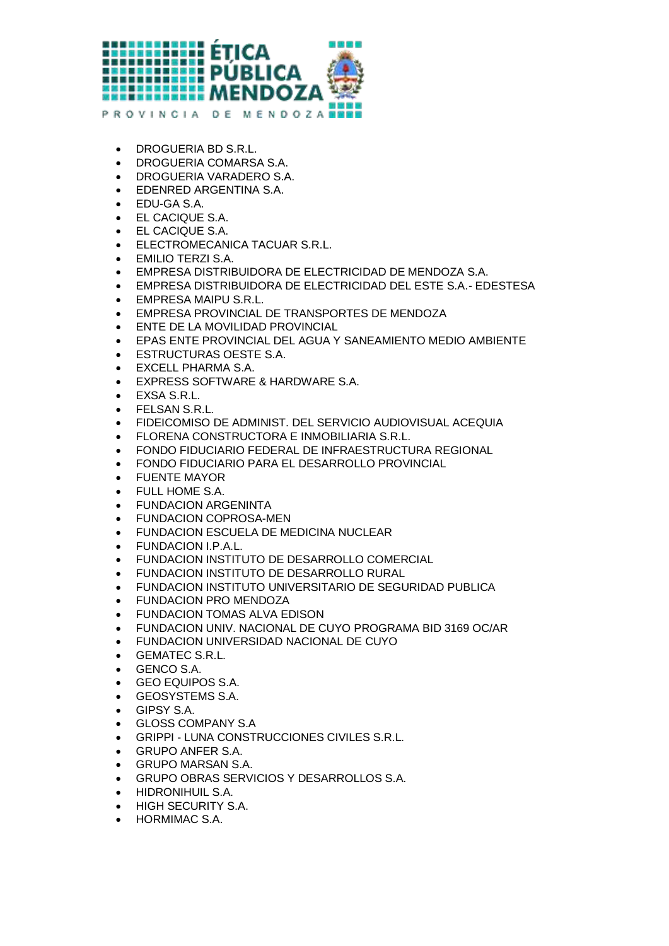

- DROGUERIA BD S.R.L.
- DROGUERIA COMARSA S.A.
- DROGUERIA VARADERO S.A.
- EDENRED ARGENTINA S.A.
- EDU-GA S.A.
- EL CACIQUE S.A.
- EL CACIQUE S.A.
- ELECTROMECANICA TACUAR S.R.L.
- EMILIO TERZI S.A.
- EMPRESA DISTRIBUIDORA DE ELECTRICIDAD DE MENDOZA S.A.
- EMPRESA DISTRIBUIDORA DE ELECTRICIDAD DEL ESTE S.A.- EDESTESA
- EMPRESA MAIPU S.R.L.
- EMPRESA PROVINCIAL DE TRANSPORTES DE MENDOZA
- ENTE DE LA MOVILIDAD PROVINCIAL
- EPAS ENTE PROVINCIAL DEL AGUA Y SANEAMIENTO MEDIO AMBIENTE
- ESTRUCTURAS OESTE S.A.
- EXCELL PHARMA S.A.
- EXPRESS SOFTWARE & HARDWARE S.A.
- EXSA S.R.L.
- FELSAN S.R.L.
- FIDEICOMISO DE ADMINIST. DEL SERVICIO AUDIOVISUAL ACEQUIA
- FLORENA CONSTRUCTORA E INMOBILIARIA S.R.L.
- FONDO FIDUCIARIO FEDERAL DE INFRAESTRUCTURA REGIONAL
- FONDO FIDUCIARIO PARA EL DESARROLLO PROVINCIAL
- FUENTE MAYOR
- FULL HOME S.A.
- FUNDACION ARGENINTA
- FUNDACION COPROSA-MEN
- FUNDACION ESCUELA DE MEDICINA NUCLEAR
- FUNDACION I.P.A.L.
- FUNDACION INSTITUTO DE DESARROLLO COMERCIAL
- FUNDACION INSTITUTO DE DESARROLLO RURAL
- FUNDACION INSTITUTO UNIVERSITARIO DE SEGURIDAD PUBLICA
- FUNDACION PRO MENDOZA
- FUNDACION TOMAS ALVA EDISON
- FUNDACION UNIV. NACIONAL DE CUYO PROGRAMA BID 3169 OC/AR
- FUNDACION UNIVERSIDAD NACIONAL DE CUYO
- GEMATEC S.R.L.
- GENCO S.A.
- GEO EQUIPOS S.A.
- GEOSYSTEMS S.A.
- GIPSY S.A.
- GLOSS COMPANY S.A
- GRIPPI LUNA CONSTRUCCIONES CIVILES S.R.L.
- GRUPO ANFER S.A.
- GRUPO MARSAN S.A.
- GRUPO OBRAS SERVICIOS Y DESARROLLOS S.A.
- HIDRONIHUIL S.A.
- HIGH SECURITY S.A.
- HORMIMAC S.A.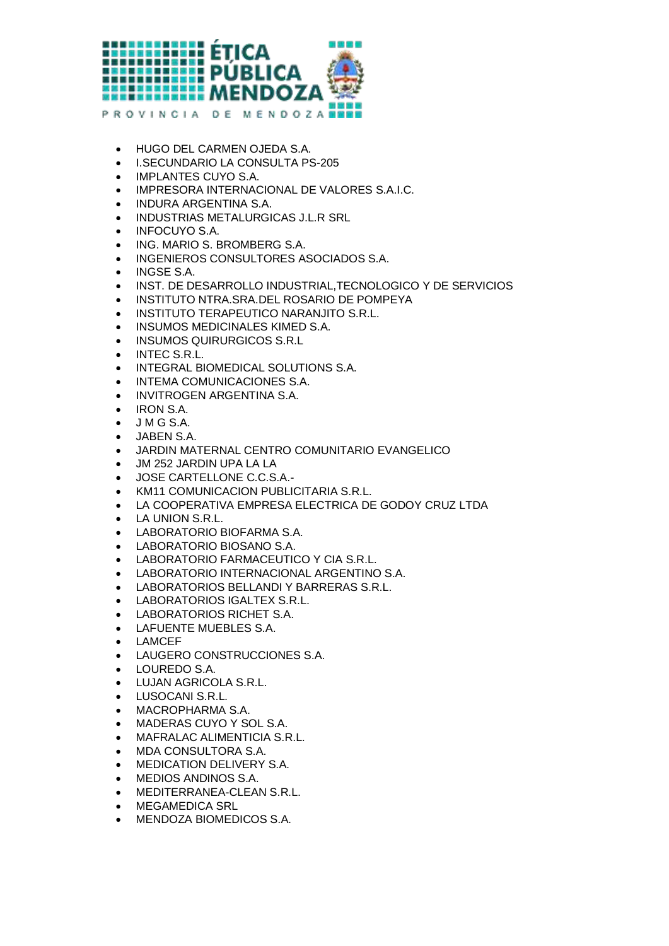

- HUGO DEL CARMEN OJEDA S.A.
- I.SECUNDARIO LA CONSULTA PS-205
- IMPLANTES CUYO S.A.
- IMPRESORA INTERNACIONAL DE VALORES S.A.I.C.
- INDURA ARGENTINA S.A.
- **INDUSTRIAS METALURGICAS J.L.R SRL**
- INFOCUYO S.A.
- ING. MARIO S. BROMBERG S.A.
- **INGENIEROS CONSULTORES ASOCIADOS S.A.**
- INGSE S.A.
- INST. DE DESARROLLO INDUSTRIAL,TECNOLOGICO Y DE SERVICIOS
- INSTITUTO NTRA.SRA.DEL ROSARIO DE POMPEYA
- **INSTITUTO TERAPEUTICO NARANJITO S.R.L.**
- **INSUMOS MEDICINALES KIMED S.A.**
- **INSUMOS QUIRURGICOS S.R.L.**
- INTEC S.R.L.
- **INTEGRAL BIOMEDICAL SOLUTIONS S.A.**
- $\bullet$  INTEMA COMUNICACIONES S.A.
- INVITROGEN ARGENTINA S.A.
- IRON S.A.
- $\bullet$  JMGS.A.
- JABEN S.A.
- JARDIN MATERNAL CENTRO COMUNITARIO EVANGELICO
- JM 252 JARDIN UPA LA LA
- JOSE CARTELLONE C.C.S.A.-
- KM11 COMUNICACION PUBLICITARIA S.R.L.
- LA COOPERATIVA EMPRESA ELECTRICA DE GODOY CRUZ LTDA
- LA UNION S.R.L.
- LABORATORIO BIOFARMA S.A.
- LABORATORIO BIOSANO S.A.
- LABORATORIO FARMACEUTICO Y CIA S.R.L.
- LABORATORIO INTERNACIONAL ARGENTINO S.A.
- LABORATORIOS BELLANDI Y BARRERAS S.R.L.
- LABORATORIOS IGALTEX S.R.L.
- LABORATORIOS RICHET S.A.
- LAFUENTE MUEBLES S.A.
- LAMCEF
- LAUGERO CONSTRUCCIONES S.A.
- LOUREDO S.A.
- LUJAN AGRICOLA S.R.L.
- **•** LUSOCANI S.R.L.
- MACROPHARMA S.A.
- MADERAS CUYO Y SOL S.A.
- MAFRALAC ALIMENTICIA S.R.L.
- MDA CONSULTORA S.A.
- MEDICATION DELIVERY S.A.
- MEDIOS ANDINOS S.A.
- MEDITERRANEA-CLEAN S.R.L.
- MEGAMEDICA SRL
- MENDOZA BIOMEDICOS S.A.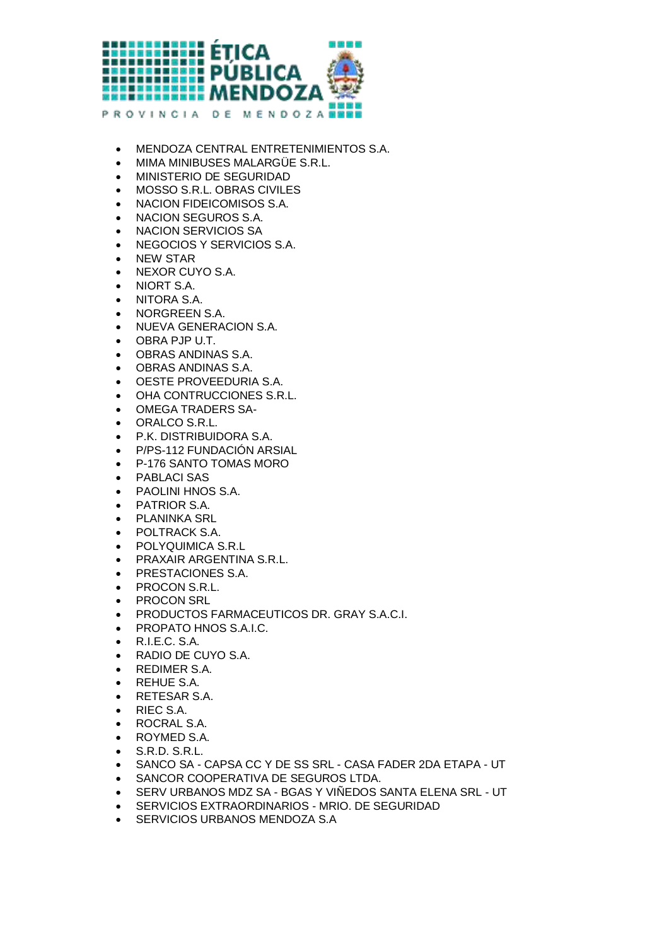

- MENDOZA CENTRAL ENTRETENIMIENTOS S.A.
- MIMA MINIBUSES MALARGÜE S.R.L.
- MINISTERIO DE SEGURIDAD
- MOSSO S.R.L. OBRAS CIVILES
- NACION FIDEICOMISOS S.A.
- NACION SEGUROS S.A.
- NACION SERVICIOS SA
- NEGOCIOS Y SERVICIOS S.A.
- NEW STAR
- NEXOR CUYO S.A.
- **NIORT S.A.**
- NITORA S.A.
- NORGREEN S.A.
- **NUEVA GENERACION S.A.**
- OBRA PJP U.T.
- OBRAS ANDINAS S.A.
- OBRAS ANDINAS S.A.
- OESTE PROVEEDURIA S.A.
- OHA CONTRUCCIONES S.R.L.
- OMEGA TRADERS SA-
- ORALCO S.R.L.
- P.K. DISTRIBUIDORA S.A.
- P/PS-112 FUNDACIÓN ARSIAL
- P-176 SANTO TOMAS MORO
- PABLACI SAS
- PAOLINI HNOS S.A.
- PATRIOR S.A.
- PLANINKA SRL
- POLTRACK S.A.
- POLYQUIMICA S.R.L
- **PRAXAIR ARGENTINA S.R.L.**
- PRESTACIONES S.A.
- PROCON S.R.L.
- PROCON SRL
- PRODUCTOS FARMACEUTICOS DR. GRAY S.A.C.I.
- **PROPATO HNOS S.A.I.C.**
- R.I.E.C. S.A.
- RADIO DE CUYO S.A.
- REDIMER S.A.
- REHUE S.A.
- RETESAR S.A.
- RIEC S.A.
- ROCRAL S.A.
- ROYMED S.A.
- S.R.D. S.R.L.
- SANCO SA CAPSA CC Y DE SS SRL CASA FADER 2DA ETAPA UT
- SANCOR COOPERATIVA DE SEGUROS LTDA.
- SERV URBANOS MDZ SA BGAS Y VIÑEDOS SANTA ELENA SRL UT
- SERVICIOS EXTRAORDINARIOS MRIO. DE SEGURIDAD
- **SERVICIOS URBANOS MENDOZA S.A**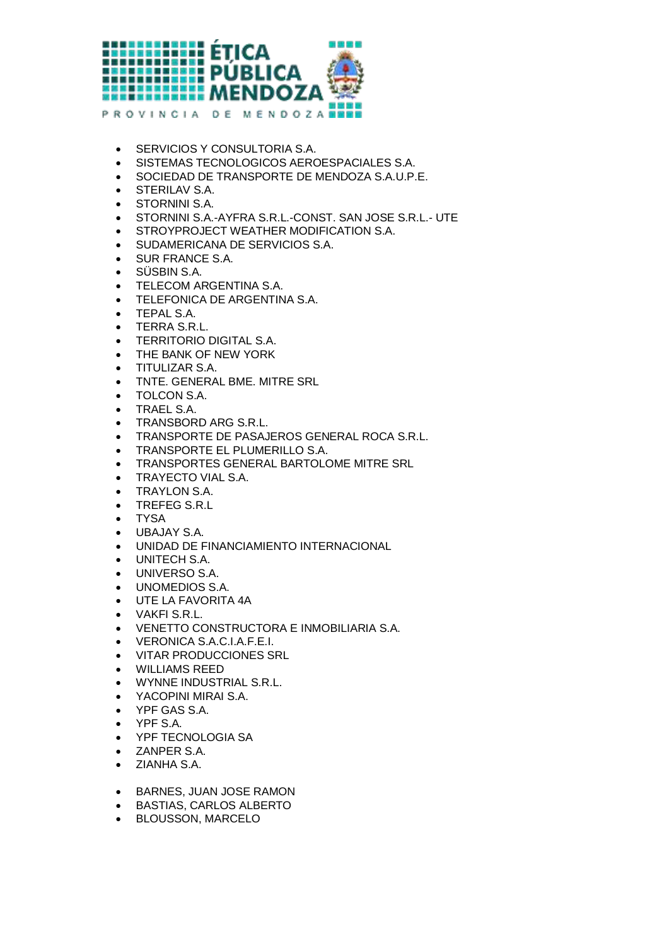

- **SERVICIOS Y CONSULTORIA S.A.**
- SISTEMAS TECNOLOGICOS AEROESPACIALES S.A.
- SOCIEDAD DE TRANSPORTE DE MENDOZA S.A.U.P.E.
- **STERILAV S.A.**
- **STORNINI S.A.**
- STORNINI S.A.-AYFRA S.R.L.-CONST. SAN JOSE S.R.L.- UTE
- **STROYPROJECT WEATHER MODIFICATION S.A.**
- SUDAMERICANA DE SERVICIOS S.A.
- SUR FRANCE S.A.
- SÜSBIN S.A.
- TELECOM ARGENTINA S.A.
- TELEFONICA DE ARGENTINA S.A.
- TEPAL S.A.
- **•** TERRA S.R.L.
- TERRITORIO DIGITAL S.A.
- THE BANK OF NEW YORK
- TITULIZAR S.A.
- TNTE. GENERAL BME. MITRE SRL
- TOLCON S.A.
- TRAEL S.A.
- TRANSBORD ARG S.R.L.
- TRANSPORTE DE PASAJEROS GENERAL ROCA S.R.L.
- TRANSPORTE EL PLUMERILLO S.A.
- TRANSPORTES GENERAL BARTOLOME MITRE SRL
- **TRAYECTO VIAL S.A.**
- TRAYLON S.A.
- **TREFEG S.R.L**
- TYSA
- UBAJAY S.A.
- UNIDAD DE FINANCIAMIENTO INTERNACIONAL
- UNITECH S.A.
- UNIVERSO S.A.
- UNOMEDIOS S.A.
- UTE LA FAVORITA 4A
- VAKFI S.R.L.
- VENETTO CONSTRUCTORA E INMOBILIARIA S.A.
- VERONICA S.A.C.I.A.F.E.I.
- VITAR PRODUCCIONES SRL
- WILLIAMS REED
- WYNNE INDUSTRIAL S.R.L.
- YACOPINI MIRAI S.A.
- YPF GAS S.A.
- YPF S.A.
- YPF TECNOLOGIA SA
- ZANPER S.A.
- ZIANHA S.A.
- **BARNES, JUAN JOSE RAMON**
- BASTIAS, CARLOS ALBERTO
- **BLOUSSON, MARCELO**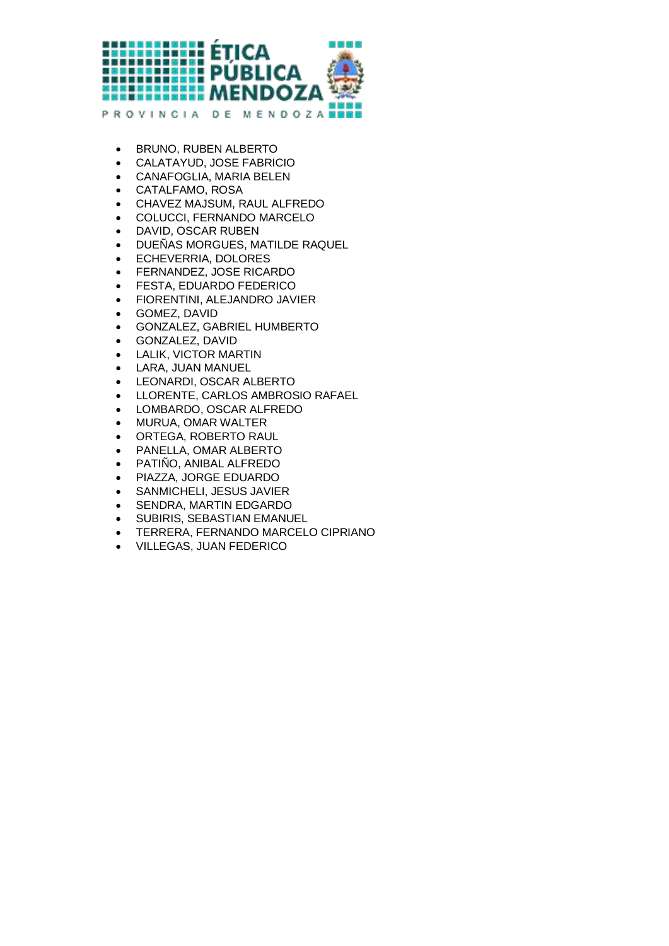

- **BRUNO, RUBEN ALBERTO**
- CALATAYUD, JOSE FABRICIO
- CANAFOGLIA, MARIA BELEN
- CATALFAMO, ROSA
- CHAVEZ MAJSUM, RAUL ALFREDO
- COLUCCI, FERNANDO MARCELO
- DAVID, OSCAR RUBEN
- DUEÑAS MORGUES, MATILDE RAQUEL
- ECHEVERRIA, DOLORES
- FERNANDEZ, JOSE RICARDO
- FESTA, EDUARDO FEDERICO
- FIORENTINI, ALEJANDRO JAVIER
- GOMEZ, DAVID
- GONZALEZ, GABRIEL HUMBERTO
- GONZALEZ, DAVID
- LALIK, VICTOR MARTIN
- LARA, JUAN MANUEL
- LEONARDI, OSCAR ALBERTO
- LLORENTE, CARLOS AMBROSIO RAFAEL
- LOMBARDO, OSCAR ALFREDO
- MURUA, OMAR WALTER
- ORTEGA, ROBERTO RAUL
- PANELLA, OMAR ALBERTO
- PATIÑO, ANIBAL ALFREDO
- PIAZZA, JORGE EDUARDO
- **SANMICHELI, JESUS JAVIER**
- SENDRA, MARTIN EDGARDO
- **SUBIRIS, SEBASTIAN EMANUEL**
- TERRERA, FERNANDO MARCELO CIPRIANO
- VILLEGAS, JUAN FEDERICO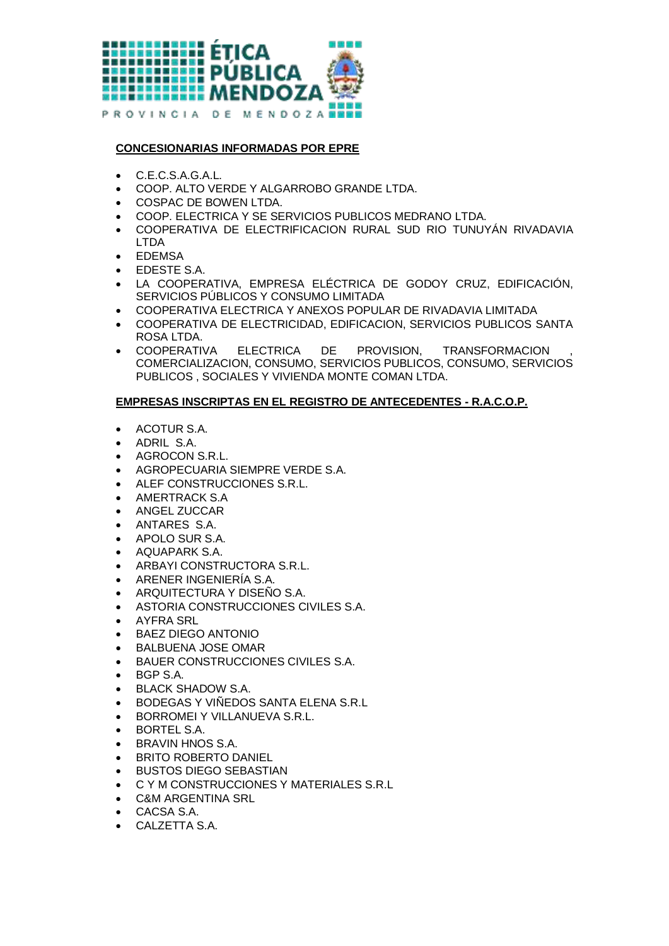

## **CONCESIONARIAS INFORMADAS POR EPRE**

- C.E.C.S.A.G.A.L.
- COOP. ALTO VERDE Y ALGARROBO GRANDE LTDA.
- COSPAC DE BOWEN LTDA.
- COOP. ELECTRICA Y SE SERVICIOS PUBLICOS MEDRANO LTDA.
- COOPERATIVA DE ELECTRIFICACION RURAL SUD RIO TUNUYÁN RIVADAVIA LTDA
- FDFMSA
- EDESTE S.A.
- LA COOPERATIVA, EMPRESA ELÉCTRICA DE GODOY CRUZ, EDIFICACIÓN, SERVICIOS PÚBLICOS Y CONSUMO LIMITADA
- COOPERATIVA ELECTRICA Y ANEXOS POPULAR DE RIVADAVIA LIMITADA
- COOPERATIVA DE ELECTRICIDAD, EDIFICACION, SERVICIOS PUBLICOS SANTA ROSA LTDA.
- **COOPERATIVA ELECTRICA DE PROVISION, TRANSFORMACION** COMERCIALIZACION, CONSUMO, SERVICIOS PUBLICOS, CONSUMO, SERVICIOS PUBLICOS , SOCIALES Y VIVIENDA MONTE COMAN LTDA.

## **EMPRESAS INSCRIPTAS EN EL REGISTRO DE ANTECEDENTES - R.A.C.O.P.**

- ACOTUR S.A.
- ADRIL S.A.
- **AGROCON S.R.L.**
- AGROPECUARIA SIEMPRE VERDE S.A.
- ALEF CONSTRUCCIONES S.R.L.
- AMERTRACK S.A
- **ANGEL ZUCCAR**
- ANTARES S.A.
- APOLO SUR S.A.
- AQUAPARK S.A.
- **ARBAYI CONSTRUCTORA S.R.L.**
- ARENER INGENIERÍA S.A.
- ARQUITECTURA Y DISEÑO S.A.
- ASTORIA CONSTRUCCIONES CIVILES S.A.
- AYFRA SRL
- BAEZ DIEGO ANTONIO
- **BALBUENA JOSE OMAR**
- BAUER CONSTRUCCIONES CIVILES S.A.
- BGP S.A.
- BLACK SHADOW S.A.
- BODEGAS Y VIÑEDOS SANTA ELENA S.R.L
- **BORROMEI Y VILLANUEVA S.R.L.**
- BORTEL S.A.
- BRAVIN HNOS S.A.
- **BRITO ROBERTO DANIEL**
- BUSTOS DIEGO SEBASTIAN
- C Y M CONSTRUCCIONES Y MATERIALES S.R.L
- **C&M ARGENTINA SRL**
- CACSA S.A.
- CALZETTA S.A.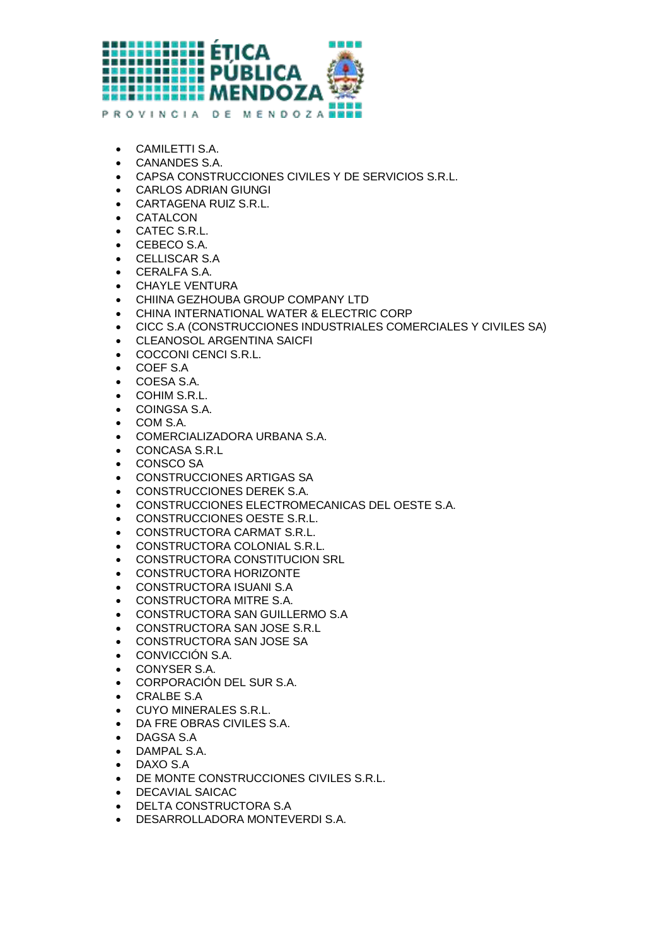

- CAMILETTI S.A.
- CANANDES S.A.
- CAPSA CONSTRUCCIONES CIVILES Y DE SERVICIOS S.R.L.
- CARLOS ADRIAN GIUNGI
- CARTAGENA RUIZ S.R.L.
- CATALCON
- CATEC S.R.L.
- CEBECO S.A.
- CELLISCAR S.A
- CERALFA S.A.
- CHAYLE VENTURA
- CHIINA GEZHOUBA GROUP COMPANY LTD
- CHINA INTERNATIONAL WATER & ELECTRIC CORP
- CICC S.A (CONSTRUCCIONES INDUSTRIALES COMERCIALES Y CIVILES SA)
- CLEANOSOL ARGENTINA SAICFI
- COCCONI CENCI S.R.L.
- COEF S.A
- COESA S.A.
- COHIM S.R.L.
- COINGSA S.A.
- COM S.A.
- COMERCIALIZADORA URBANA S.A.
- CONCASA S.R.L
- CONSCO SA
- CONSTRUCCIONES ARTIGAS SA
- CONSTRUCCIONES DEREK S.A.
- CONSTRUCCIONES ELECTROMECANICAS DEL OESTE S.A.
- CONSTRUCCIONES OESTE S.R.L.
- CONSTRUCTORA CARMAT S.R.L.
- CONSTRUCTORA COLONIAL S.R.L.
- **CONSTRUCTORA CONSTITUCION SRL**
- CONSTRUCTORA HORIZONTE
- CONSTRUCTORA ISUANI S.A
- CONSTRUCTORA MITRE S.A.
- CONSTRUCTORA SAN GUILLERMO S.A
- CONSTRUCTORA SAN JOSE S.R.L
- CONSTRUCTORA SAN JOSE SA
- CONVICCIÓN S.A.
- CONYSER S.A.
- CORPORACIÓN DEL SUR S.A.
- CRALBE S.A
- CUYO MINERALES S.R.L.
- DA FRE OBRAS CIVILES S.A.
- DAGSA S.A
- DAMPAL S.A.
- DAXO S.A
- DE MONTE CONSTRUCCIONES CIVILES S.R.L.
- DECAVIAL SAICAC
- DELTA CONSTRUCTORA S.A
- DESARROLLADORA MONTEVERDI S.A.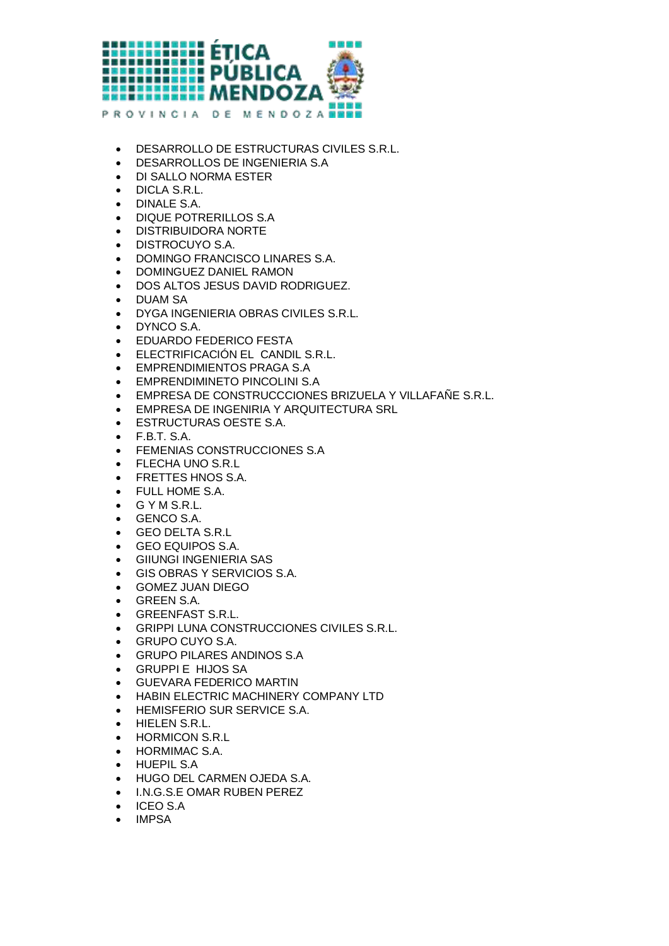

- DESARROLLO DE ESTRUCTURAS CIVILES S.R.L.
- DESARROLLOS DE INGENIERIA S.A
- DI SALLO NORMA ESTER
- DICLA S.R.L.
- DINALE S.A.
- DIQUE POTRERILLOS S.A
- DISTRIBUIDORA NORTE
- DISTROCUYO S.A.
- DOMINGO FRANCISCO LINARES S.A.
- DOMINGUEZ DANIEL RAMON
- DOS ALTOS JESUS DAVID RODRIGUEZ.
- DUAM SA
- DYGA INGENIERIA OBRAS CIVILES S.R.L.
- DYNCO S.A.
- EDUARDO FEDERICO FESTA
- ELECTRIFICACIÓN EL CANDIL S.R.L.
- EMPRENDIMIENTOS PRAGA S.A
- EMPRENDIMINETO PINCOLINI S.A
- EMPRESA DE CONSTRUCCCIONES BRIZUELA Y VILLAFAÑE S.R.L.
- EMPRESA DE INGENIRIA Y ARQUITECTURA SRL
- ESTRUCTURAS OESTE S.A.
- F.B.T. S.A.
- **FEMENIAS CONSTRUCCIONES S.A.**
- **FLECHA UNO S.R.L**
- **FRETTES HNOS S.A.**
- FULL HOME S.A.
- G Y M S.R.L.
- GENCO S.A.
- GEO DELTA S.R.L
- GEO EQUIPOS S.A.
- GIIUNGI INGENIERIA SAS
- GIS OBRAS Y SERVICIOS S.A.
- GOMEZ JUAN DIEGO
- GREEN S.A.
- GREENFAST S.R.L.
- GRIPPI LUNA CONSTRUCCIONES CIVILES S.R.L.
- GRUPO CUYO S.A.
- GRUPO PILARES ANDINOS S.A
- GRUPPI E HIJOS SA
- GUEVARA FEDERICO MARTIN
- HABIN ELECTRIC MACHINERY COMPANY LTD
- **HEMISFERIO SUR SERVICE S.A.**
- **•** HIELEN S.R.L.
- HORMICON S.R.L
- HORMIMAC S.A.
- HUEPIL S.A
- HUGO DEL CARMEN OJEDA S.A.
- I.N.G.S.E OMAR RUBEN PEREZ
- ICEO S.A
- IMPSA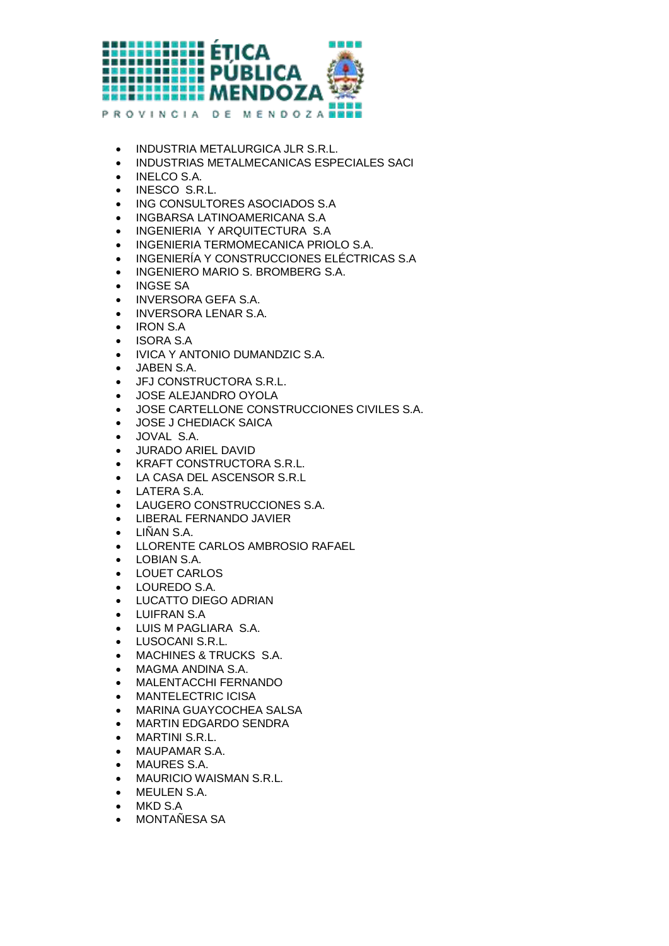

- **INDUSTRIA METALURGICA JLR S.R.L.**
- INDUSTRIAS METALMECANICAS ESPECIALES SACI
- INELCO S.A.
- INESCO S.R.L.
- ING CONSULTORES ASOCIADOS S.A
- INGBARSA LATINOAMERICANA S.A
- INGENIERIA Y ARQUITECTURA S.A
- **INGENIERIA TERMOMECANICA PRIOLO S.A.**
- INGENIERÍA Y CONSTRUCCIONES ELÉCTRICAS S.A
- **INGENIERO MARIO S. BROMBERG S.A.**
- INGSE SA
- INVERSORA GEFA S.A.
- INVERSORA LENAR S.A.
- IRON S.A
- ISORA S.A
- IVICA Y ANTONIO DUMANDZIC S.A.
- JABEN S.A.
- JFJ CONSTRUCTORA S.R.L.
- JOSE ALEJANDRO OYOLA
- JOSE CARTELLONE CONSTRUCCIONES CIVILES S.A.
- JOSE J CHEDIACK SAICA
- JOVAL S.A.
- JURADO ARIEL DAVID
- KRAFT CONSTRUCTORA S.R.L.
- LA CASA DEL ASCENSOR S.R.L
- LATERA S.A.
- LAUGERO CONSTRUCCIONES S.A.
- LIBERAL FERNANDO JAVIER
- $\bullet$  LINAN S.A.
- LLORENTE CARLOS AMBROSIO RAFAEL
- LOBIAN S.A.
- LOUET CARLOS
- LOUREDO S.A.
- LUCATTO DIEGO ADRIAN
- LUIFRAN S.A
- LUIS M PAGLIARA S.A.
- LUSOCANI S.R.L.
- MACHINES & TRUCKS S.A.
- MAGMA ANDINA S.A.
- MALENTACCHI FERNANDO
- MANTELECTRIC ICISA
- MARINA GUAYCOCHEA SALSA
- MARTIN EDGARDO SENDRA
- MARTINI S.R.L.
- MAUPAMAR S.A.
- MAURES S.A.
- MAURICIO WAISMAN S.R.L.
- MEULEN S.A.
- MKD S.A
- MONTAÑESA SA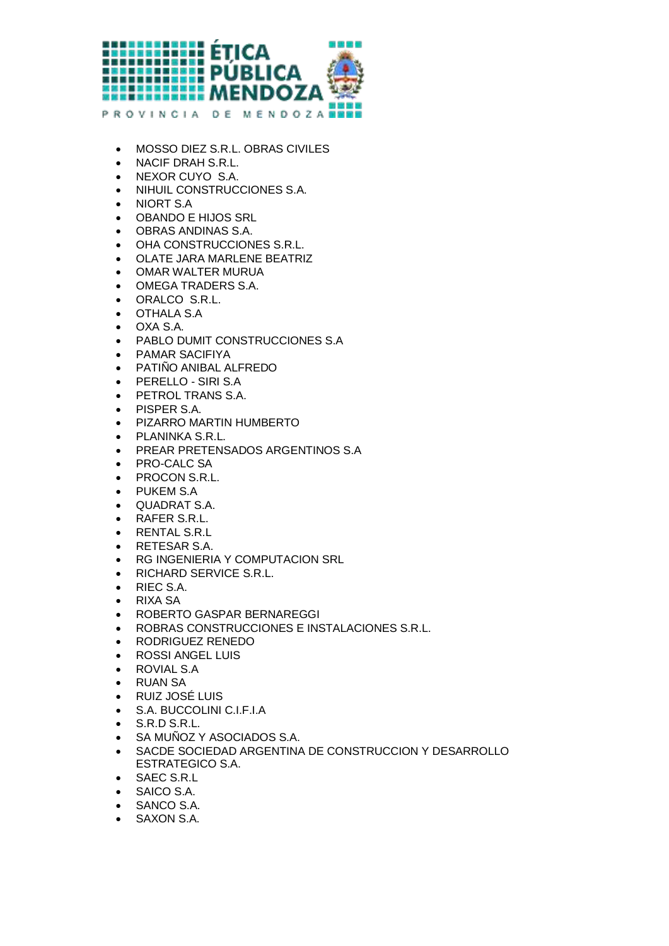

- MOSSO DIEZ S.R.L. OBRAS CIVILES
- NACIF DRAH S.R.L.
- NEXOR CUYO S.A.
- NIHUIL CONSTRUCCIONES S.A.
- NIORT S.A
- OBANDO E HIJOS SRL
- OBRAS ANDINAS S.A.
- OHA CONSTRUCCIONES S.R.L.
- OLATE JARA MARLENE BEATRIZ
- OMAR WALTER MURUA
- OMEGA TRADERS S.A.
- ORALCO S.R.L.
- OTHALA S.A
- OXA S.A.
- PABLO DUMIT CONSTRUCCIONES S.A
- PAMAR SACIFIYA
- PATIÑO ANIBAL ALFREDO
- PERELLO SIRI S.A
- **PETROL TRANS S.A.**
- PISPER S.A.
- **PIZARRO MARTIN HUMBERTO**
- PLANINKA S.R.L.
- PREAR PRETENSADOS ARGENTINOS S.A
- PRO-CALC SA
- PROCON S.R.L.
- PUKEM S.A
- QUADRAT S.A.
- RAFER S.R.L.
- RENTAL S.R.L
- RETESAR S.A.
- RG INGENIERIA Y COMPUTACION SRL
- **RICHARD SERVICE S.R.L.**
- RIEC S.A.
- RIXA SA
- ROBERTO GASPAR BERNAREGGI
- ROBRAS CONSTRUCCIONES E INSTALACIONES S.R.L.
- RODRIGUEZ RENEDO
- ROSSI ANGEL LUIS
- ROVIAL S.A
- RUAN SA
- RUIZ JOSÉ LUIS
- S.A. BUCCOLINI C.I.F.I.A
- S.R.D S.R.L.
- SA MUÑOZ Y ASOCIADOS S.A.
- **SACDE SOCIEDAD ARGENTINA DE CONSTRUCCION Y DESARROLLO** ESTRATEGICO S.A.
- SAEC S.R.L
- SAICO S.A.
- SANCO S.A.
- SAXON S.A.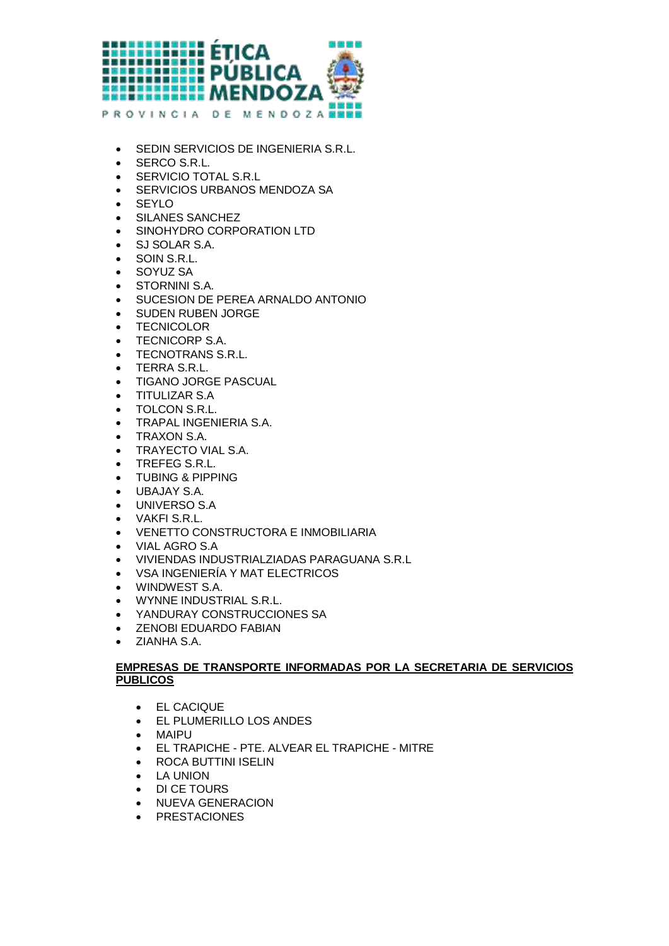

- **SEDIN SERVICIOS DE INGENIERIA S.R.L.**
- SERCO S.R.L.
- **SERVICIO TOTAL S.R.L**
- **SERVICIOS URBANOS MENDOZA SA**
- SEYLO
- SILANES SANCHEZ
- SINOHYDRO CORPORATION LTD
- SJ SOLAR S.A.
- SOIN S.R.L.
- SOYUZ SA
- **STORNINI S.A.**
- SUCESION DE PEREA ARNALDO ANTONIO
- **SUDEN RUBEN JORGE**
- **•** TECNICOLOR
- **TECNICORP S.A.**
- **TECNOTRANS S.R.L.**
- TERRA S.R.L.
- TIGANO JORGE PASCUAL
- TITULIZAR S.A
- TOLCON S.R.L.
- TRAPAL INGENIERIA S.A.
- TRAXON S.A.
- **TRAYECTO VIAL S.A.**
- **TREFEG S.R.L.**
- TUBING & PIPPING
- UBAJAY S.A.
- UNIVERSO S.A
- VAKFI S.R.L.
- VENETTO CONSTRUCTORA E INMOBILIARIA
- VIAL AGRO S.A
- VIVIENDAS INDUSTRIALZIADAS PARAGUANA S.R.L
- VSA INGENIERÍA Y MAT ELECTRICOS
- WINDWEST S.A.
- WYNNE INDUSTRIAL S.R.L.
- YANDURAY CONSTRUCCIONES SA
- ZENOBI EDUARDO FABIAN
- ZIANHA S.A.

## **EMPRESAS DE TRANSPORTE INFORMADAS POR LA SECRETARIA DE SERVICIOS PUBLICOS**

- EL CACIQUE
- EL PLUMERILLO LOS ANDES
- MAIPU
- EL TRAPICHE PTE. ALVEAR EL TRAPICHE MITRE
- ROCA BUTTINI ISELIN
- LA UNION
- DI CE TOURS
- **NUEVA GENERACION**
- PRESTACIONES